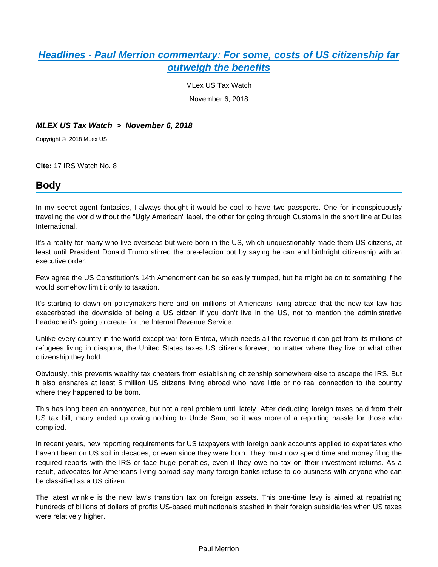## **[Headlines - Paul Merrion commentary: For some, costs of US citizenship far](https://advance.lexis.com/api/document?collection=legalnews&id=urn:contentItem:5TN8-8TB1-JC8V-43T8-00000-00&context=)  [outweigh the benefits](https://advance.lexis.com/api/document?collection=legalnews&id=urn:contentItem:5TN8-8TB1-JC8V-43T8-00000-00&context=)**

MLex US Tax Watch

November 6, 2018

## **MLEX US Tax Watch > November 6, 2018**

Copyright © 2018 MLex US

**Cite:** 17 IRS Watch No. 8

## **Body**

In my secret agent fantasies, I always thought it would be cool to have two passports. One for inconspicuously traveling the world without the "Ugly American" label, the other for going through Customs in the short line at Dulles International.

It's a reality for many who live overseas but were born in the US, which unquestionably made them US citizens, at least until President Donald Trump stirred the pre-election pot by saying he can end birthright citizenship with an executive order.

Few agree the US Constitution's 14th Amendment can be so easily trumped, but he might be on to something if he would somehow limit it only to taxation.

It's starting to dawn on policymakers here and on millions of Americans living abroad that the new tax law has exacerbated the downside of being a US citizen if you don't live in the US, not to mention the administrative headache it's going to create for the Internal Revenue Service.

Unlike every country in the world except war-torn Eritrea, which needs all the revenue it can get from its millions of refugees living in diaspora, the United States taxes US citizens forever, no matter where they live or what other citizenship they hold.

Obviously, this prevents wealthy tax cheaters from establishing citizenship somewhere else to escape the IRS. But it also ensnares at least 5 million US citizens living abroad who have little or no real connection to the country where they happened to be born.

This has long been an annoyance, but not a real problem until lately. After deducting foreign taxes paid from their US tax bill, many ended up owing nothing to Uncle Sam, so it was more of a reporting hassle for those who complied.

In recent years, new reporting requirements for US taxpayers with foreign bank accounts applied to expatriates who haven't been on US soil in decades, or even since they were born. They must now spend time and money filing the required reports with the IRS or face huge penalties, even if they owe no tax on their investment returns. As a result, advocates for Americans living abroad say many foreign banks refuse to do business with anyone who can be classified as a US citizen.

The latest wrinkle is the new law's transition tax on foreign assets. This one-time levy is aimed at repatriating hundreds of billions of dollars of profits US-based multinationals stashed in their foreign subsidiaries when US taxes were relatively higher.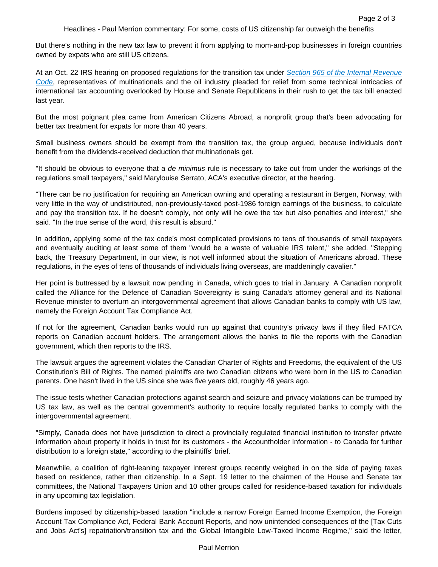But there's nothing in the new tax law to prevent it from applying to mom-and-pop businesses in foreign countries owned by expats who are still US citizens.

At an Oct. 22 IRS hearing on proposed regulations for the transition tax under Section 965 of the Internal Revenue [Code](https://advance.lexis.com/api/document?collection=statutes-legislation&id=urn:contentItem:4YF7-GTD1-NRF4-41NF-00000-00&context=), representatives of multinationals and the oil industry pleaded for relief from some technical intricacies of international tax accounting overlooked by House and Senate Republicans in their rush to get the tax bill enacted last year.

But the most poignant plea came from American Citizens Abroad, a nonprofit group that's been advocating for better tax treatment for expats for more than 40 years.

Small business owners should be exempt from the transition tax, the group argued, because individuals don't benefit from the dividends-received deduction that multinationals get.

"It should be obvious to everyone that a de minimus rule is necessary to take out from under the workings of the regulations small taxpayers," said Marylouise Serrato, ACA's executive director, at the hearing.

"There can be no justification for requiring an American owning and operating a restaurant in Bergen, Norway, with very little in the way of undistributed, non-previously-taxed post-1986 foreign earnings of the business, to calculate and pay the transition tax. If he doesn't comply, not only will he owe the tax but also penalties and interest," she said. "In the true sense of the word, this result is absurd."

In addition, applying some of the tax code's most complicated provisions to tens of thousands of small taxpayers and eventually auditing at least some of them "would be a waste of valuable IRS talent," she added. "Stepping back, the Treasury Department, in our view, is not well informed about the situation of Americans abroad. These regulations, in the eyes of tens of thousands of individuals living overseas, are maddeningly cavalier."

Her point is buttressed by a lawsuit now pending in Canada, which goes to trial in January. A Canadian nonprofit called the Alliance for the Defence of Canadian Sovereignty is suing Canada's attorney general and its National Revenue minister to overturn an intergovernmental agreement that allows Canadian banks to comply with US law, namely the Foreign Account Tax Compliance Act.

If not for the agreement, Canadian banks would run up against that country's privacy laws if they filed FATCA reports on Canadian account holders. The arrangement allows the banks to file the reports with the Canadian government, which then reports to the IRS.

The lawsuit argues the agreement violates the Canadian Charter of Rights and Freedoms, the equivalent of the US Constitution's Bill of Rights. The named plaintiffs are two Canadian citizens who were born in the US to Canadian parents. One hasn't lived in the US since she was five years old, roughly 46 years ago.

The issue tests whether Canadian protections against search and seizure and privacy violations can be trumped by US tax law, as well as the central government's authority to require locally regulated banks to comply with the intergovernmental agreement.

"Simply, Canada does not have jurisdiction to direct a provincially regulated financial institution to transfer private information about property it holds in trust for its customers - the Accountholder Information - to Canada for further distribution to a foreign state," according to the plaintiffs' brief.

Meanwhile, a coalition of right-leaning taxpayer interest groups recently weighed in on the side of paying taxes based on residence, rather than citizenship. In a Sept. 19 letter to the chairmen of the House and Senate tax committees, the National Taxpayers Union and 10 other groups called for residence-based taxation for individuals in any upcoming tax legislation.

Burdens imposed by citizenship-based taxation "include a narrow Foreign Earned Income Exemption, the Foreign Account Tax Compliance Act, Federal Bank Account Reports, and now unintended consequences of the [Tax Cuts and Jobs Act's] repatriation/transition tax and the Global Intangible Low-Taxed Income Regime," said the letter,